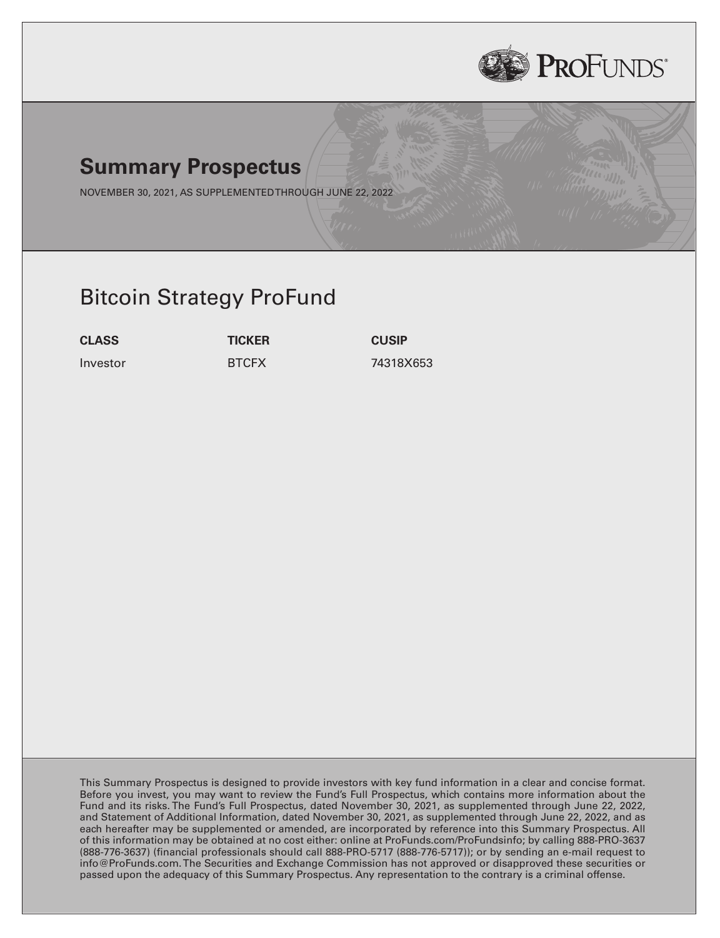

# **Summary Prospectus**

NOVEMBER 30, 2021, AS SUPPLEMENTEDTHROUGH JUNE 22, 2022

# Bitcoin Strategy ProFund

**CLASS TICKER CUSIP**

Investor BTCFX 74318X653

This Summary Prospectus is designed to provide investors with key fund information in a clear and concise format. Before you invest, you may want to review the Fund's Full Prospectus, which contains more information about the Fund and its risks. The Fund's Full Prospectus, dated November 30, 2021, as supplemented through June 22, 2022, and Statement of Additional Information, dated November 30, 2021, as supplemented through June 22, 2022, and as each hereafter may be supplemented or amended, are incorporated by reference into this Summary Prospectus. All of this information may be obtained at no cost either: online at ProFunds.com/ProFundsinfo; by calling 888-PRO-3637 (888-776-3637) (financial professionals should call 888-PRO-5717 (888-776-5717)); or by sending an e-mail request to info@ProFunds.com. The Securities and Exchange Commission has not approved or disapproved these securities or passed upon the adequacy of this Summary Prospectus. Any representation to the contrary is a criminal offense.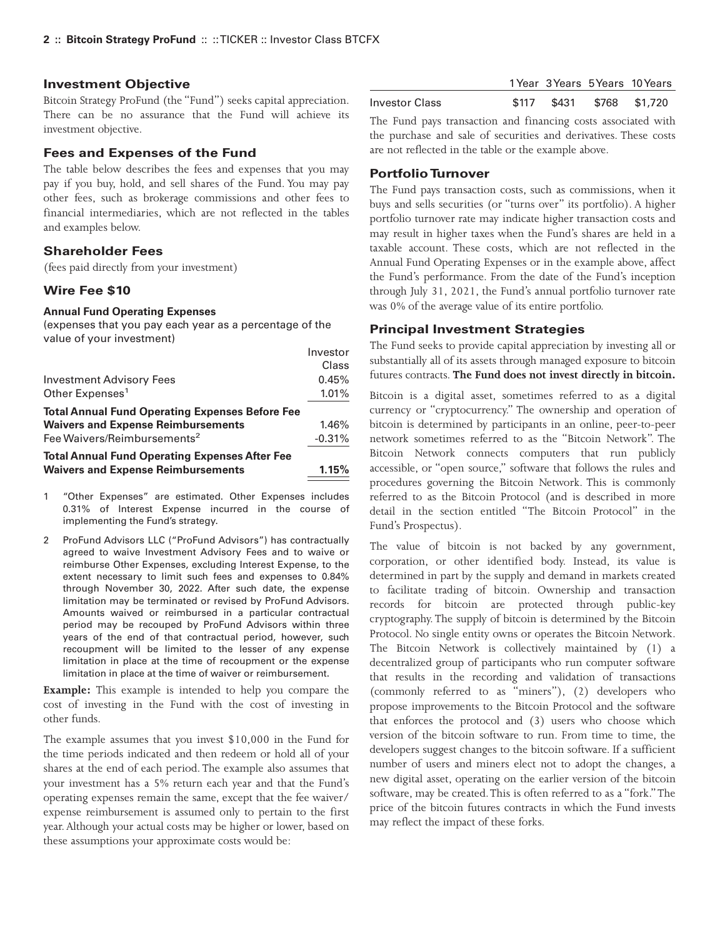### **Investment Objective**

Bitcoin Strategy ProFund (the "Fund") seeks capital appreciation. There can be no assurance that the Fund will achieve its investment objective.

### **Fees and Expenses of the Fund**

The table below describes the fees and expenses that you may pay if you buy, hold, and sell shares of the Fund. You may pay other fees, such as brokerage commissions and other fees to financial intermediaries, which are not reflected in the tables and examples below.

# **Shareholder Fees**

(fees paid directly from your investment)

## **Wire Fee \$10**

#### **Annual Fund Operating Expenses**

(expenses that you pay each year as a percentage of the value of your investment)

|                                                        | Investor |
|--------------------------------------------------------|----------|
|                                                        | Class    |
| Investment Advisory Fees                               | 0.45%    |
| Other Expenses <sup>1</sup>                            | 1.01%    |
| <b>Total Annual Fund Operating Expenses Before Fee</b> |          |
| <b>Waivers and Expense Reimbursements</b>              | 1.46%    |
| Fee Waivers/Reimbursements <sup>2</sup>                | $-0.31%$ |
| <b>Total Annual Fund Operating Expenses After Fee</b>  |          |
| <b>Waivers and Expense Reimbursements</b>              | 1.15%    |

- 1 "Other Expenses" are estimated. Other Expenses includes 0.31% of Interest Expense incurred in the course of implementing the Fund's strategy.
- 2 ProFund Advisors LLC ("ProFund Advisors") has contractually agreed to waive Investment Advisory Fees and to waive or reimburse Other Expenses, excluding Interest Expense, to the extent necessary to limit such fees and expenses to 0.84% through November 30, 2022. After such date, the expense limitation may be terminated or revised by ProFund Advisors. Amounts waived or reimbursed in a particular contractual period may be recouped by ProFund Advisors within three years of the end of that contractual period, however, such recoupment will be limited to the lesser of any expense limitation in place at the time of recoupment or the expense limitation in place at the time of waiver or reimbursement.

**Example:** This example is intended to help you compare the cost of investing in the Fund with the cost of investing in other funds.

The example assumes that you invest \$10,000 in the Fund for the time periods indicated and then redeem or hold all of your shares at the end of each period. The example also assumes that your investment has a 5% return each year and that the Fund's operating expenses remain the same, except that the fee waiver/ expense reimbursement is assumed only to pertain to the first year. Although your actual costs may be higher or lower, based on these assumptions your approximate costs would be:

|                |  | 1 Year 3 Years 5 Years 10 Years |
|----------------|--|---------------------------------|
| Investor Class |  | \$117 \$431 \$768 \$1,720       |

The Fund pays transaction and financing costs associated with the purchase and sale of securities and derivatives. These costs are not reflected in the table or the example above.

## **Portfolio Turnover**

The Fund pays transaction costs, such as commissions, when it buys and sells securities (or "turns over" its portfolio). A higher portfolio turnover rate may indicate higher transaction costs and may result in higher taxes when the Fund's shares are held in a taxable account. These costs, which are not reflected in the Annual Fund Operating Expenses or in the example above, affect the Fund's performance. From the date of the Fund's inception through July 31, 2021, the Fund's annual portfolio turnover rate was 0% of the average value of its entire portfolio.

### **Principal Investment Strategies**

The Fund seeks to provide capital appreciation by investing all or substantially all of its assets through managed exposure to bitcoin futures contracts. **The Fund does not invest directly in bitcoin.**

Bitcoin is a digital asset, sometimes referred to as a digital currency or "cryptocurrency." The ownership and operation of bitcoin is determined by participants in an online, peer-to-peer network sometimes referred to as the "Bitcoin Network". The Bitcoin Network connects computers that run publicly accessible, or "open source," software that follows the rules and procedures governing the Bitcoin Network. This is commonly referred to as the Bitcoin Protocol (and is described in more detail in the section entitled "The Bitcoin Protocol" in the Fund's Prospectus).

The value of bitcoin is not backed by any government, corporation, or other identified body. Instead, its value is determined in part by the supply and demand in markets created to facilitate trading of bitcoin. Ownership and transaction records for bitcoin are protected through public-key cryptography. The supply of bitcoin is determined by the Bitcoin Protocol. No single entity owns or operates the Bitcoin Network. The Bitcoin Network is collectively maintained by (1) a decentralized group of participants who run computer software that results in the recording and validation of transactions (commonly referred to as "miners"), (2) developers who propose improvements to the Bitcoin Protocol and the software that enforces the protocol and (3) users who choose which version of the bitcoin software to run. From time to time, the developers suggest changes to the bitcoin software. If a sufficient number of users and miners elect not to adopt the changes, a new digital asset, operating on the earlier version of the bitcoin software, may be created.This is often referred to as a "fork."The price of the bitcoin futures contracts in which the Fund invests may reflect the impact of these forks.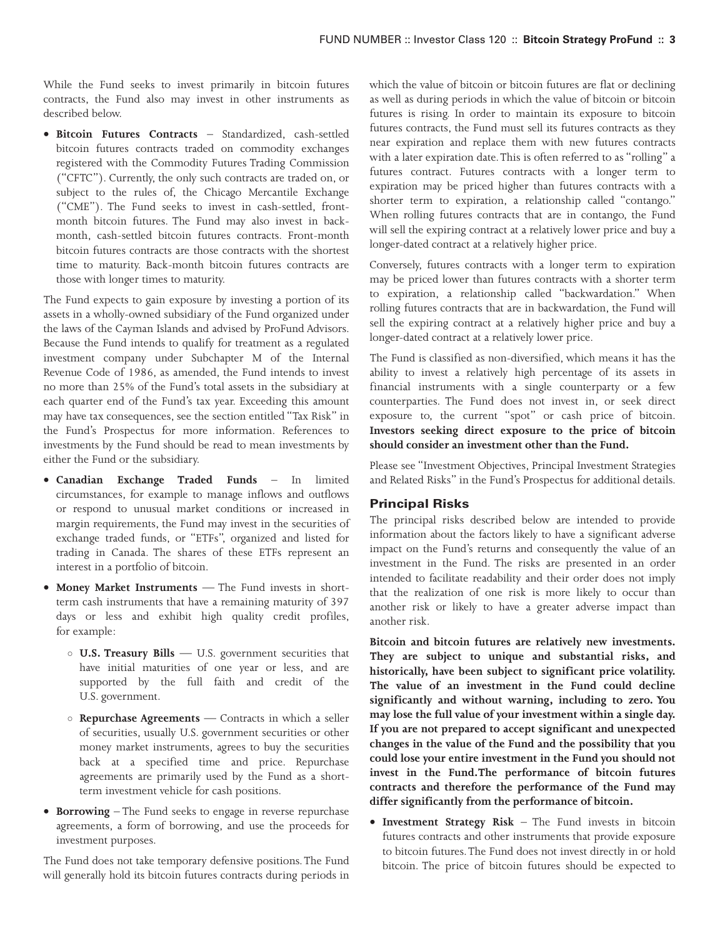While the Fund seeks to invest primarily in bitcoin futures contracts, the Fund also may invest in other instruments as described below.

• **Bitcoin Futures Contracts** – Standardized, cash-settled bitcoin futures contracts traded on commodity exchanges registered with the Commodity Futures Trading Commission ("CFTC"). Currently, the only such contracts are traded on, or subject to the rules of, the Chicago Mercantile Exchange ("CME"). The Fund seeks to invest in cash-settled, frontmonth bitcoin futures. The Fund may also invest in backmonth, cash-settled bitcoin futures contracts. Front-month bitcoin futures contracts are those contracts with the shortest time to maturity. Back-month bitcoin futures contracts are those with longer times to maturity.

The Fund expects to gain exposure by investing a portion of its assets in a wholly-owned subsidiary of the Fund organized under the laws of the Cayman Islands and advised by ProFund Advisors. Because the Fund intends to qualify for treatment as a regulated investment company under Subchapter M of the Internal Revenue Code of 1986, as amended, the Fund intends to invest no more than 25% of the Fund's total assets in the subsidiary at each quarter end of the Fund's tax year. Exceeding this amount may have tax consequences, see the section entitled "Tax Risk" in the Fund's Prospectus for more information. References to investments by the Fund should be read to mean investments by either the Fund or the subsidiary.

- **Canadian Exchange Traded Funds** In limited circumstances, for example to manage inflows and outflows or respond to unusual market conditions or increased in margin requirements, the Fund may invest in the securities of exchange traded funds, or "ETFs", organized and listed for trading in Canada. The shares of these ETFs represent an interest in a portfolio of bitcoin.
- **Money Market Instruments** The Fund invests in shortterm cash instruments that have a remaining maturity of 397 days or less and exhibit high quality credit profiles, for example:
	- **U.S. Treasury Bills** U.S. government securities that have initial maturities of one year or less, and are supported by the full faith and credit of the U.S. government.
	- **Repurchase Agreements** Contracts in which a seller of securities, usually U.S. government securities or other money market instruments, agrees to buy the securities back at a specified time and price. Repurchase agreements are primarily used by the Fund as a shortterm investment vehicle for cash positions.
- **Borrowing** The Fund seeks to engage in reverse repurchase agreements, a form of borrowing, and use the proceeds for investment purposes.

The Fund does not take temporary defensive positions.The Fund will generally hold its bitcoin futures contracts during periods in which the value of bitcoin or bitcoin futures are flat or declining as well as during periods in which the value of bitcoin or bitcoin futures is rising. In order to maintain its exposure to bitcoin futures contracts, the Fund must sell its futures contracts as they near expiration and replace them with new futures contracts with a later expiration date.This is often referred to as "rolling" a futures contract. Futures contracts with a longer term to expiration may be priced higher than futures contracts with a shorter term to expiration, a relationship called "contango." When rolling futures contracts that are in contango, the Fund will sell the expiring contract at a relatively lower price and buy a longer-dated contract at a relatively higher price.

Conversely, futures contracts with a longer term to expiration may be priced lower than futures contracts with a shorter term to expiration, a relationship called "backwardation." When rolling futures contracts that are in backwardation, the Fund will sell the expiring contract at a relatively higher price and buy a longer-dated contract at a relatively lower price.

The Fund is classified as non-diversified, which means it has the ability to invest a relatively high percentage of its assets in financial instruments with a single counterparty or a few counterparties. The Fund does not invest in, or seek direct exposure to, the current "spot" or cash price of bitcoin. **Investors seeking direct exposure to the price of bitcoin should consider an investment other than the Fund.**

Please see "Investment Objectives, Principal Investment Strategies and Related Risks" in the Fund's Prospectus for additional details.

## **Principal Risks**

The principal risks described below are intended to provide information about the factors likely to have a significant adverse impact on the Fund's returns and consequently the value of an investment in the Fund. The risks are presented in an order intended to facilitate readability and their order does not imply that the realization of one risk is more likely to occur than another risk or likely to have a greater adverse impact than another risk.

**Bitcoin and bitcoin futures are relatively new investments. They are subject to unique and substantial risks, and historically, have been subject to significant price volatility. The value of an investment in the Fund could decline significantly and without warning, including to zero. You may lose the full value of your investment within a single day. If you are not prepared to accept significant and unexpected changes in the value of the Fund and the possibility that you could lose your entire investment in the Fund you should not invest in the Fund.The performance of bitcoin futures contracts and therefore the performance of the Fund may differ significantly from the performance of bitcoin.**

• **Investment Strategy Risk** – The Fund invests in bitcoin futures contracts and other instruments that provide exposure to bitcoin futures.The Fund does not invest directly in or hold bitcoin. The price of bitcoin futures should be expected to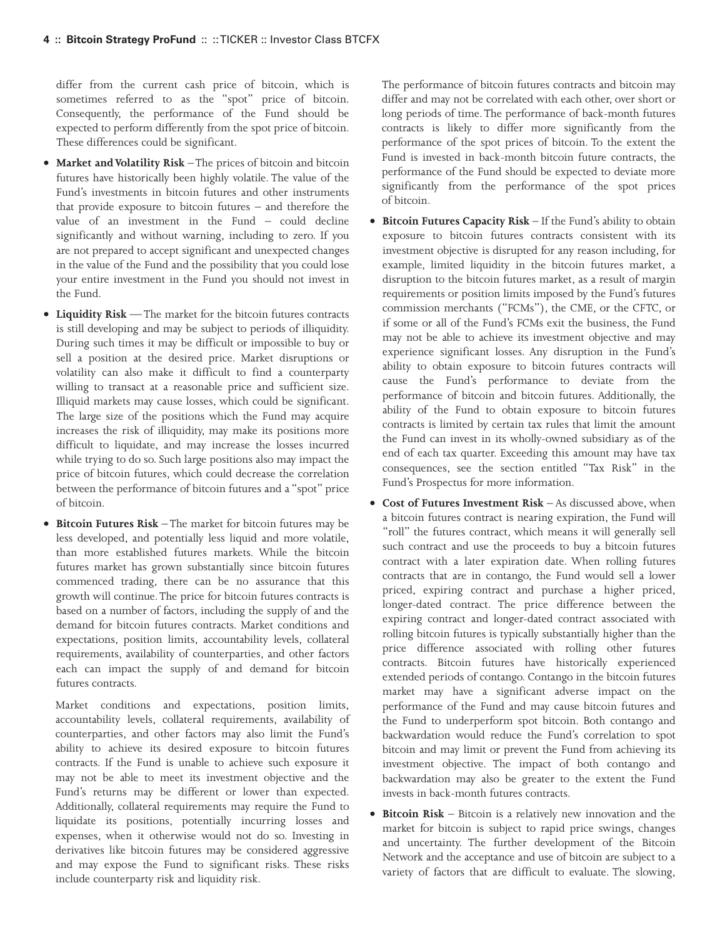differ from the current cash price of bitcoin, which is sometimes referred to as the "spot" price of bitcoin. Consequently, the performance of the Fund should be expected to perform differently from the spot price of bitcoin. These differences could be significant.

- **Market and Volatility Risk** The prices of bitcoin and bitcoin futures have historically been highly volatile. The value of the Fund's investments in bitcoin futures and other instruments that provide exposure to bitcoin futures – and therefore the value of an investment in the Fund – could decline significantly and without warning, including to zero. If you are not prepared to accept significant and unexpected changes in the value of the Fund and the possibility that you could lose your entire investment in the Fund you should not invest in the Fund.
- **Liquidity Risk** The market for the bitcoin futures contracts is still developing and may be subject to periods of illiquidity. During such times it may be difficult or impossible to buy or sell a position at the desired price. Market disruptions or volatility can also make it difficult to find a counterparty willing to transact at a reasonable price and sufficient size. Illiquid markets may cause losses, which could be significant. The large size of the positions which the Fund may acquire increases the risk of illiquidity, may make its positions more difficult to liquidate, and may increase the losses incurred while trying to do so. Such large positions also may impact the price of bitcoin futures, which could decrease the correlation between the performance of bitcoin futures and a "spot" price of bitcoin.
- **Bitcoin Futures Risk** The market for bitcoin futures may be less developed, and potentially less liquid and more volatile, than more established futures markets. While the bitcoin futures market has grown substantially since bitcoin futures commenced trading, there can be no assurance that this growth will continue.The price for bitcoin futures contracts is based on a number of factors, including the supply of and the demand for bitcoin futures contracts. Market conditions and expectations, position limits, accountability levels, collateral requirements, availability of counterparties, and other factors each can impact the supply of and demand for bitcoin futures contracts.

Market conditions and expectations, position limits, accountability levels, collateral requirements, availability of counterparties, and other factors may also limit the Fund's ability to achieve its desired exposure to bitcoin futures contracts. If the Fund is unable to achieve such exposure it may not be able to meet its investment objective and the Fund's returns may be different or lower than expected. Additionally, collateral requirements may require the Fund to liquidate its positions, potentially incurring losses and expenses, when it otherwise would not do so. Investing in derivatives like bitcoin futures may be considered aggressive and may expose the Fund to significant risks. These risks include counterparty risk and liquidity risk.

The performance of bitcoin futures contracts and bitcoin may differ and may not be correlated with each other, over short or long periods of time. The performance of back-month futures contracts is likely to differ more significantly from the performance of the spot prices of bitcoin. To the extent the Fund is invested in back-month bitcoin future contracts, the performance of the Fund should be expected to deviate more significantly from the performance of the spot prices of bitcoin.

- **Bitcoin Futures Capacity Risk** If the Fund's ability to obtain exposure to bitcoin futures contracts consistent with its investment objective is disrupted for any reason including, for example, limited liquidity in the bitcoin futures market, a disruption to the bitcoin futures market, as a result of margin requirements or position limits imposed by the Fund's futures commission merchants ("FCMs"), the CME, or the CFTC, or if some or all of the Fund's FCMs exit the business, the Fund may not be able to achieve its investment objective and may experience significant losses. Any disruption in the Fund's ability to obtain exposure to bitcoin futures contracts will cause the Fund's performance to deviate from the performance of bitcoin and bitcoin futures. Additionally, the ability of the Fund to obtain exposure to bitcoin futures contracts is limited by certain tax rules that limit the amount the Fund can invest in its wholly-owned subsidiary as of the end of each tax quarter. Exceeding this amount may have tax consequences, see the section entitled "Tax Risk" in the Fund's Prospectus for more information.
- **Cost of Futures Investment Risk** As discussed above, when a bitcoin futures contract is nearing expiration, the Fund will "roll" the futures contract, which means it will generally sell such contract and use the proceeds to buy a bitcoin futures contract with a later expiration date. When rolling futures contracts that are in contango, the Fund would sell a lower priced, expiring contract and purchase a higher priced, longer-dated contract. The price difference between the expiring contract and longer-dated contract associated with rolling bitcoin futures is typically substantially higher than the price difference associated with rolling other futures contracts. Bitcoin futures have historically experienced extended periods of contango. Contango in the bitcoin futures market may have a significant adverse impact on the performance of the Fund and may cause bitcoin futures and the Fund to underperform spot bitcoin. Both contango and backwardation would reduce the Fund's correlation to spot bitcoin and may limit or prevent the Fund from achieving its investment objective. The impact of both contango and backwardation may also be greater to the extent the Fund invests in back-month futures contracts.
- **Bitcoin Risk** Bitcoin is a relatively new innovation and the market for bitcoin is subject to rapid price swings, changes and uncertainty. The further development of the Bitcoin Network and the acceptance and use of bitcoin are subject to a variety of factors that are difficult to evaluate. The slowing,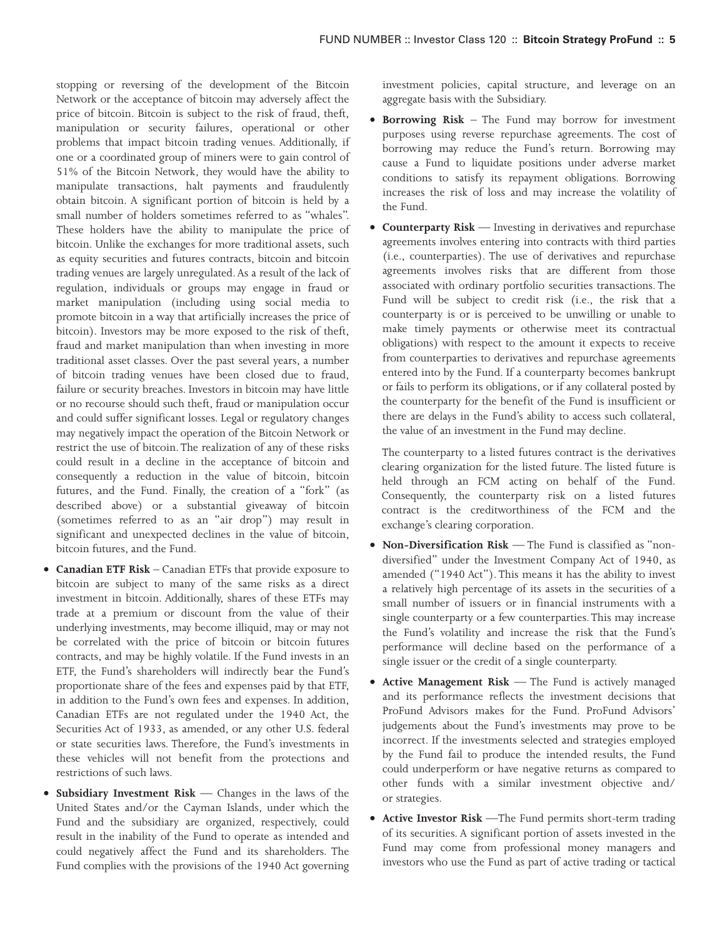stopping or reversing of the development of the Bitcoin Network or the acceptance of bitcoin may adversely affect the price of bitcoin. Bitcoin is subject to the risk of fraud, theft, manipulation or security failures, operational or other problems that impact bitcoin trading venues. Additionally, if one or a coordinated group of miners were to gain control of 51% of the Bitcoin Network, they would have the ability to manipulate transactions, halt payments and fraudulently obtain bitcoin. A significant portion of bitcoin is held by a small number of holders sometimes referred to as "whales". These holders have the ability to manipulate the price of bitcoin. Unlike the exchanges for more traditional assets, such as equity securities and futures contracts, bitcoin and bitcoin trading venues are largely unregulated. As a result of the lack of regulation, individuals or groups may engage in fraud or market manipulation (including using social media to promote bitcoin in a way that artificially increases the price of bitcoin). Investors may be more exposed to the risk of theft, fraud and market manipulation than when investing in more traditional asset classes. Over the past several years, a number of bitcoin trading venues have been closed due to fraud, failure or security breaches. Investors in bitcoin may have little or no recourse should such theft, fraud or manipulation occur and could suffer significant losses. Legal or regulatory changes may negatively impact the operation of the Bitcoin Network or restrict the use of bitcoin. The realization of any of these risks could result in a decline in the acceptance of bitcoin and consequently a reduction in the value of bitcoin, bitcoin futures, and the Fund. Finally, the creation of a "fork" (as described above) or a substantial giveaway of bitcoin (sometimes referred to as an "air drop") may result in significant and unexpected declines in the value of bitcoin, bitcoin futures, and the Fund.

- **Canadian ETF Risk** Canadian ETFs that provide exposure to bitcoin are subject to many of the same risks as a direct investment in bitcoin. Additionally, shares of these ETFs may trade at a premium or discount from the value of their underlying investments, may become illiquid, may or may not be correlated with the price of bitcoin or bitcoin futures contracts, and may be highly volatile. If the Fund invests in an ETF, the Fund's shareholders will indirectly bear the Fund's proportionate share of the fees and expenses paid by that ETF, in addition to the Fund's own fees and expenses. In addition, Canadian ETFs are not regulated under the 1940 Act, the Securities Act of 1933, as amended, or any other U.S. federal or state securities laws. Therefore, the Fund's investments in these vehicles will not benefit from the protections and restrictions of such laws.
- **Subsidiary Investment Risk** Changes in the laws of the United States and/or the Cayman Islands, under which the Fund and the subsidiary are organized, respectively, could result in the inability of the Fund to operate as intended and could negatively affect the Fund and its shareholders. The Fund complies with the provisions of the 1940 Act governing

investment policies, capital structure, and leverage on an aggregate basis with the Subsidiary.

- **Borrowing Risk** The Fund may borrow for investment purposes using reverse repurchase agreements. The cost of borrowing may reduce the Fund's return. Borrowing may cause a Fund to liquidate positions under adverse market conditions to satisfy its repayment obligations. Borrowing increases the risk of loss and may increase the volatility of the Fund.
- **Counterparty Risk** Investing in derivatives and repurchase agreements involves entering into contracts with third parties (i.e., counterparties). The use of derivatives and repurchase agreements involves risks that are different from those associated with ordinary portfolio securities transactions. The Fund will be subject to credit risk (i.e., the risk that a counterparty is or is perceived to be unwilling or unable to make timely payments or otherwise meet its contractual obligations) with respect to the amount it expects to receive from counterparties to derivatives and repurchase agreements entered into by the Fund. If a counterparty becomes bankrupt or fails to perform its obligations, or if any collateral posted by the counterparty for the benefit of the Fund is insufficient or there are delays in the Fund's ability to access such collateral, the value of an investment in the Fund may decline.

The counterparty to a listed futures contract is the derivatives clearing organization for the listed future. The listed future is held through an FCM acting on behalf of the Fund. Consequently, the counterparty risk on a listed futures contract is the creditworthiness of the FCM and the exchange's clearing corporation.

- **Non-Diversification Risk** The Fund is classified as "nondiversified" under the Investment Company Act of 1940, as amended ("1940 Act"). This means it has the ability to invest a relatively high percentage of its assets in the securities of a small number of issuers or in financial instruments with a single counterparty or a few counterparties. This may increase the Fund's volatility and increase the risk that the Fund's performance will decline based on the performance of a single issuer or the credit of a single counterparty.
- **Active Management Risk** The Fund is actively managed and its performance reflects the investment decisions that ProFund Advisors makes for the Fund. ProFund Advisors' judgements about the Fund's investments may prove to be incorrect. If the investments selected and strategies employed by the Fund fail to produce the intended results, the Fund could underperform or have negative returns as compared to other funds with a similar investment objective and/ or strategies.
- **Active Investor Risk** —The Fund permits short-term trading of its securities. A significant portion of assets invested in the Fund may come from professional money managers and investors who use the Fund as part of active trading or tactical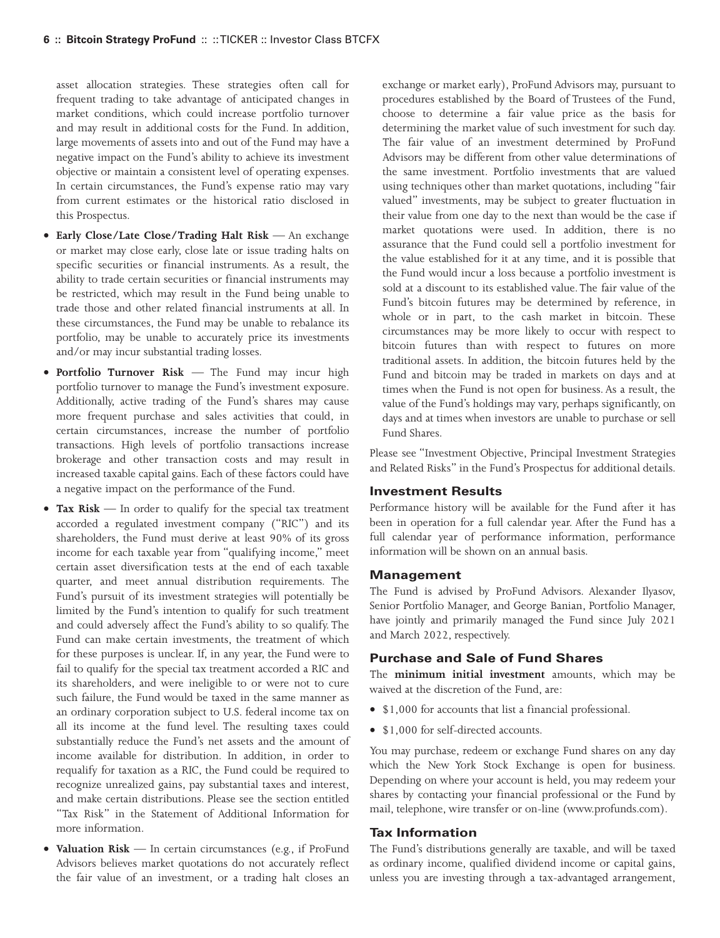asset allocation strategies. These strategies often call for frequent trading to take advantage of anticipated changes in market conditions, which could increase portfolio turnover and may result in additional costs for the Fund. In addition, large movements of assets into and out of the Fund may have a negative impact on the Fund's ability to achieve its investment objective or maintain a consistent level of operating expenses. In certain circumstances, the Fund's expense ratio may vary from current estimates or the historical ratio disclosed in this Prospectus.

- **Early Close/Late Close/Trading Halt Risk** An exchange or market may close early, close late or issue trading halts on specific securities or financial instruments. As a result, the ability to trade certain securities or financial instruments may be restricted, which may result in the Fund being unable to trade those and other related financial instruments at all. In these circumstances, the Fund may be unable to rebalance its portfolio, may be unable to accurately price its investments and/or may incur substantial trading losses.
- **Portfolio Turnover Risk** The Fund may incur high portfolio turnover to manage the Fund's investment exposure. Additionally, active trading of the Fund's shares may cause more frequent purchase and sales activities that could, in certain circumstances, increase the number of portfolio transactions. High levels of portfolio transactions increase brokerage and other transaction costs and may result in increased taxable capital gains. Each of these factors could have a negative impact on the performance of the Fund.
- **Tax Risk** In order to qualify for the special tax treatment accorded a regulated investment company ("RIC") and its shareholders, the Fund must derive at least 90% of its gross income for each taxable year from "qualifying income," meet certain asset diversification tests at the end of each taxable quarter, and meet annual distribution requirements. The Fund's pursuit of its investment strategies will potentially be limited by the Fund's intention to qualify for such treatment and could adversely affect the Fund's ability to so qualify. The Fund can make certain investments, the treatment of which for these purposes is unclear. If, in any year, the Fund were to fail to qualify for the special tax treatment accorded a RIC and its shareholders, and were ineligible to or were not to cure such failure, the Fund would be taxed in the same manner as an ordinary corporation subject to U.S. federal income tax on all its income at the fund level. The resulting taxes could substantially reduce the Fund's net assets and the amount of income available for distribution. In addition, in order to requalify for taxation as a RIC, the Fund could be required to recognize unrealized gains, pay substantial taxes and interest, and make certain distributions. Please see the section entitled "Tax Risk" in the Statement of Additional Information for more information.
- **Valuation Risk** In certain circumstances (e.g., if ProFund Advisors believes market quotations do not accurately reflect the fair value of an investment, or a trading halt closes an

exchange or market early), ProFund Advisors may, pursuant to procedures established by the Board of Trustees of the Fund, choose to determine a fair value price as the basis for determining the market value of such investment for such day. The fair value of an investment determined by ProFund Advisors may be different from other value determinations of the same investment. Portfolio investments that are valued using techniques other than market quotations, including "fair valued" investments, may be subject to greater fluctuation in their value from one day to the next than would be the case if market quotations were used. In addition, there is no assurance that the Fund could sell a portfolio investment for the value established for it at any time, and it is possible that the Fund would incur a loss because a portfolio investment is sold at a discount to its established value. The fair value of the Fund's bitcoin futures may be determined by reference, in whole or in part, to the cash market in bitcoin. These circumstances may be more likely to occur with respect to bitcoin futures than with respect to futures on more traditional assets. In addition, the bitcoin futures held by the Fund and bitcoin may be traded in markets on days and at times when the Fund is not open for business. As a result, the value of the Fund's holdings may vary, perhaps significantly, on days and at times when investors are unable to purchase or sell Fund Shares.

Please see "Investment Objective, Principal Investment Strategies and Related Risks" in the Fund's Prospectus for additional details.

### **Investment Results**

Performance history will be available for the Fund after it has been in operation for a full calendar year. After the Fund has a full calendar year of performance information, performance information will be shown on an annual basis.

#### **Management**

The Fund is advised by ProFund Advisors. Alexander Ilyasov, Senior Portfolio Manager, and George Banian, Portfolio Manager, have jointly and primarily managed the Fund since July 2021 and March 2022, respectively.

## **Purchase and Sale of Fund Shares**

The **minimum initial investment** amounts, which may be waived at the discretion of the Fund, are:

- \$1,000 for accounts that list a financial professional.
- \$1,000 for self-directed accounts.

You may purchase, redeem or exchange Fund shares on any day which the New York Stock Exchange is open for business. Depending on where your account is held, you may redeem your shares by contacting your financial professional or the Fund by mail, telephone, wire transfer or on-line (www.profunds.com).

#### **Tax Information**

The Fund's distributions generally are taxable, and will be taxed as ordinary income, qualified dividend income or capital gains, unless you are investing through a tax-advantaged arrangement,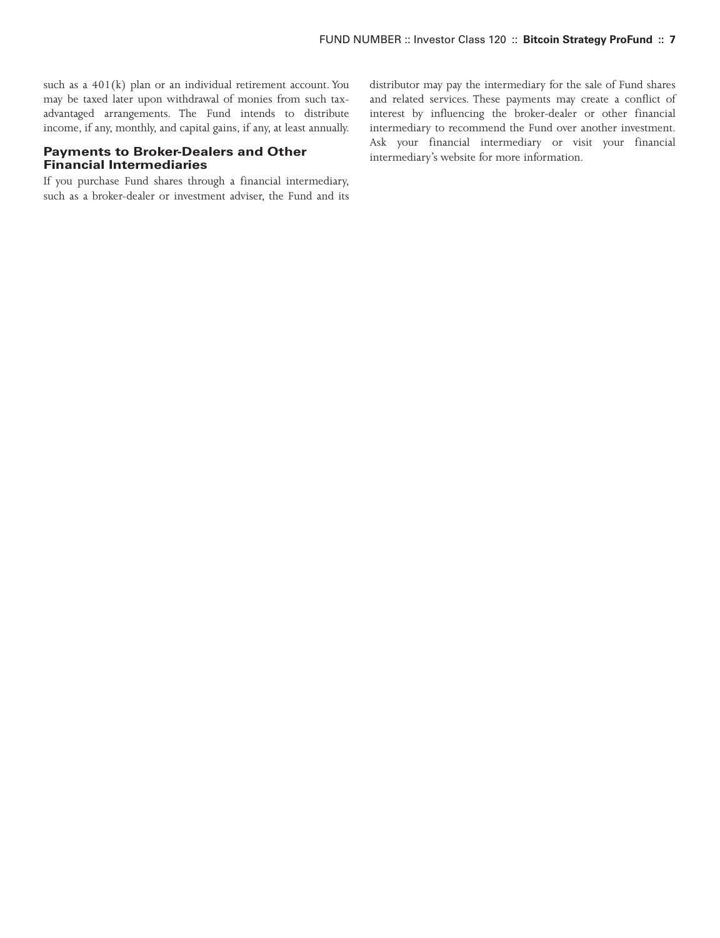such as a 401(k) plan or an individual retirement account. You may be taxed later upon withdrawal of monies from such taxadvantaged arrangements. The Fund intends to distribute income, if any, monthly, and capital gains, if any, at least annually.

## **Payments to Broker-Dealers and Other Financial Intermediaries**

If you purchase Fund shares through a financial intermediary, such as a broker-dealer or investment adviser, the Fund and its distributor may pay the intermediary for the sale of Fund shares and related services. These payments may create a conflict of interest by influencing the broker-dealer or other financial intermediary to recommend the Fund over another investment. Ask your financial intermediary or visit your financial intermediary's website for more information.